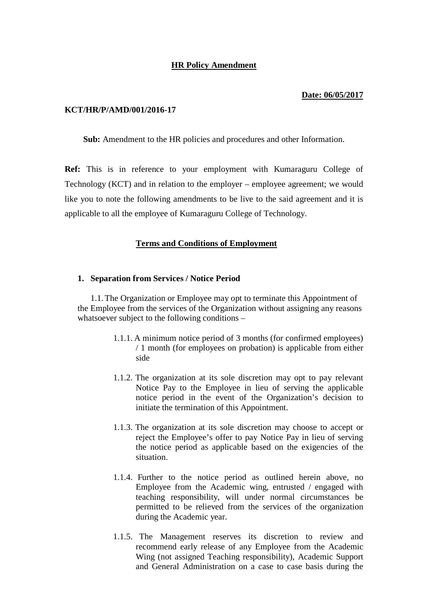## **HR Policy Amendment**

#### **Date: 06/05/2017**

#### **KCT/HR/P/AMD/001/2016-17**

**Sub:** Amendment to the HR policies and procedures and other Information.

**Ref:** This is in reference to your employment with Kumaraguru College of Technology (KCT) and in relation to the employer – employee agreement; we would like you to note the following amendments to be live to the said agreement and it is applicable to all the employee of Kumaraguru College of Technology.

### **Terms and Conditions of Employment**

#### **1. Separation from Services / Notice Period**

1.1.The Organization or Employee may opt to terminate this Appointment of the Employee from the services of the Organization without assigning any reasons whatsoever subject to the following conditions –

- 1.1.1. A minimum notice period of 3 months (for confirmed employees) / 1 month (for employees on probation) is applicable from either side
- 1.1.2. The organization at its sole discretion may opt to pay relevant Notice Pay to the Employee in lieu of serving the applicable notice period in the event of the Organization's decision to initiate the termination of this Appointment.
- 1.1.3. The organization at its sole discretion may choose to accept or reject the Employee's offer to pay Notice Pay in lieu of serving the notice period as applicable based on the exigencies of the situation.
- 1.1.4. Further to the notice period as outlined herein above, no Employee from the Academic wing, entrusted / engaged with teaching responsibility, will under normal circumstances be permitted to be relieved from the services of the organization during the Academic year.
- 1.1.5. The Management reserves its discretion to review and recommend early release of any Employee from the Academic Wing (not assigned Teaching responsibility), Academic Support and General Administration on a case to case basis during the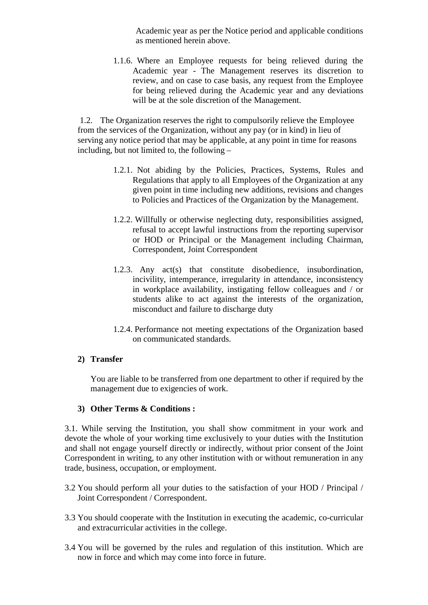Academic year as per the Notice period and applicable conditions as mentioned herein above.

1.1.6. Where an Employee requests for being relieved during the Academic year - The Management reserves its discretion to review, and on case to case basis, any request from the Employee for being relieved during the Academic year and any deviations will be at the sole discretion of the Management.

1.2. The Organization reserves the right to compulsorily relieve the Employee from the services of the Organization, without any pay (or in kind) in lieu of serving any notice period that may be applicable, at any point in time for reasons including, but not limited to, the following –

- 1.2.1. Not abiding by the Policies, Practices, Systems, Rules and Regulations that apply to all Employees of the Organization at any given point in time including new additions, revisions and changes to Policies and Practices of the Organization by the Management.
- 1.2.2. Willfully or otherwise neglecting duty, responsibilities assigned, refusal to accept lawful instructions from the reporting supervisor or HOD or Principal or the Management including Chairman, Correspondent, Joint Correspondent
- 1.2.3. Any act(s) that constitute disobedience, insubordination, incivility, intemperance, irregularity in attendance, inconsistency in workplace availability, instigating fellow colleagues and / or students alike to act against the interests of the organization, misconduct and failure to discharge duty
- 1.2.4. Performance not meeting expectations of the Organization based on communicated standards.

# **2) Transfer**

You are liable to be transferred from one department to other if required by the management due to exigencies of work.

## **3) Other Terms & Conditions :**

3.1. While serving the Institution, you shall show commitment in your work and devote the whole of your working time exclusively to your duties with the Institution and shall not engage yourself directly or indirectly, without prior consent of the Joint Correspondent in writing, to any other institution with or without remuneration in any trade, business, occupation, or employment.

- 3.2 You should perform all your duties to the satisfaction of your HOD / Principal / Joint Correspondent / Correspondent.
- 3.3 You should cooperate with the Institution in executing the academic, co-curricular and extracurricular activities in the college.
- 3.4 You will be governed by the rules and regulation of this institution. Which are now in force and which may come into force in future.